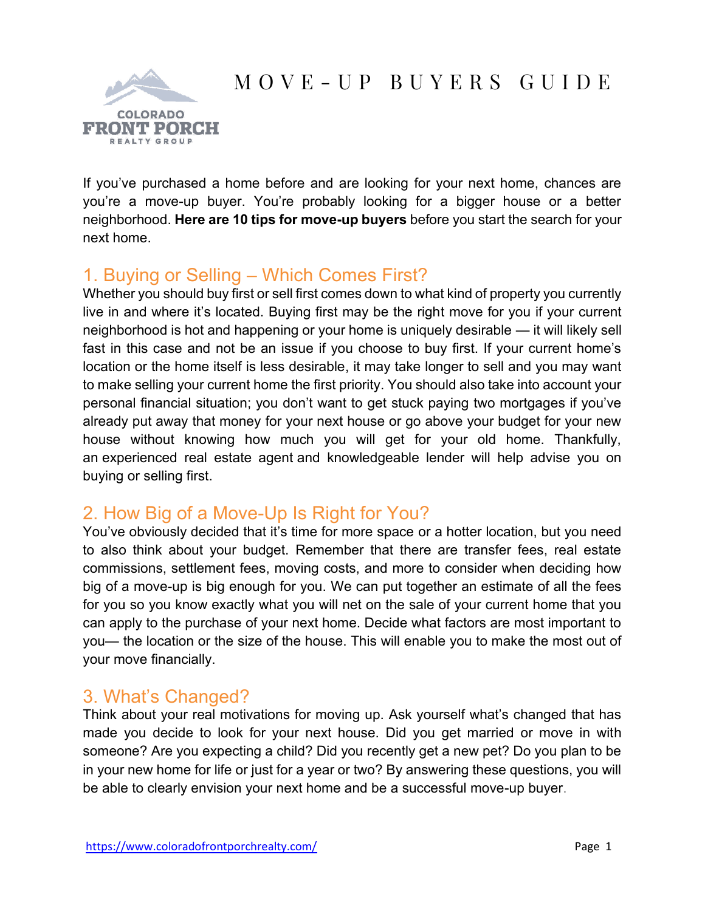# M O V E - U P B U Y E R S G U I D E



If you've purchased a home before and are looking for your next home, chances are you're a move-up buyer. You're probably looking for a bigger house or a better neighborhood. **Here are 10 tips for move-up buyers** before you start the search for your next home.

## 1. Buying or Selling – Which Comes First?

Whether you should buy first or sell first comes down to what kind of property you currently live in and where it's located. Buying first may be the right move for you if your current neighborhood is hot and happening or your home is uniquely desirable — it will likely sell fast in this case and not be an issue if you choose to buy first. If your current home's location or the home itself is less desirable, it may take longer to sell and you may want to make selling your current home the first priority. You should also take into account your personal financial situation; you don't want to get stuck paying two mortgages if you've already put away that money for your next house or go above your budget for your new house without knowing how much you will get for your old home. Thankfully, an experienced real estate agent and knowledgeable lender will help advise you on buying or selling first.

## 2. How Big of a Move-Up Is Right for You?

You've obviously decided that it's time for more space or a hotter location, but you need to also think about your budget. Remember that there are transfer fees, real estate commissions, settlement fees, moving costs, and more to consider when deciding how big of a move-up is big enough for you. We can put together an estimate of all the fees for you so you know exactly what you will net on the sale of your current home that you can apply to the purchase of your next home. Decide what factors are most important to you— the location or the size of the house. This will enable you to make the most out of your move financially.

#### 3. What's Changed?

Think about your real motivations for moving up. Ask yourself what's changed that has made you decide to look for your next house. Did you get married or move in with someone? Are you expecting a child? Did you recently get a new pet? Do you plan to be in your new home for life or just for a year or two? By answering these questions, you will be able to clearly envision your next home and be a successful move-up buyer.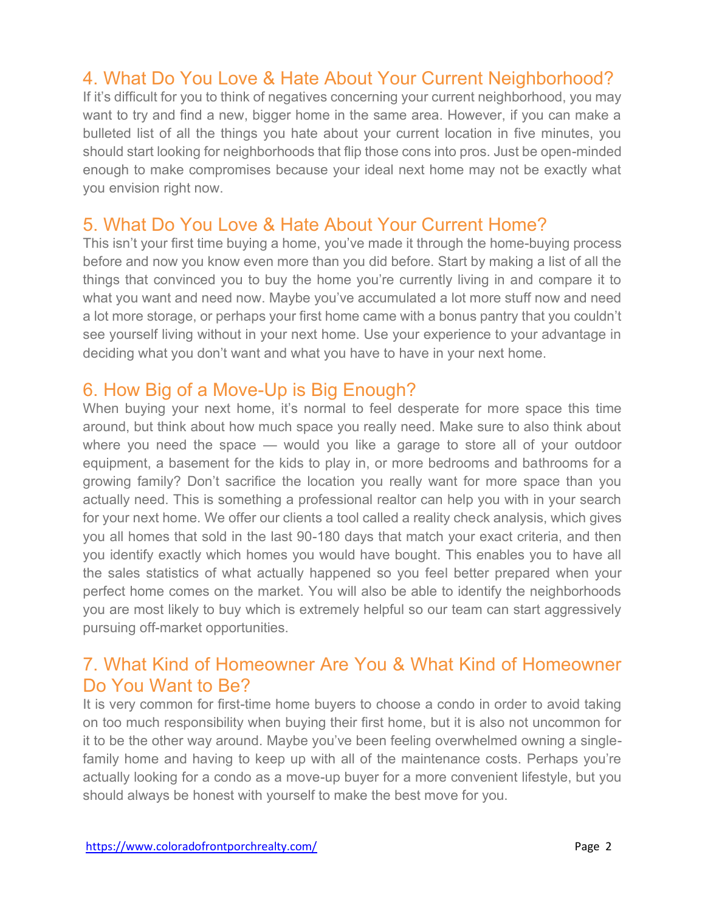#### 4. What Do You Love & Hate About Your Current Neighborhood?

If it's difficult for you to think of negatives concerning your current neighborhood, you may want to try and find a new, bigger home in the same area. However, if you can make a bulleted list of all the things you hate about your current location in five minutes, you should start looking for neighborhoods that flip those cons into pros. Just be open-minded enough to make compromises because your ideal next home may not be exactly what you envision right now.

#### 5. What Do You Love & Hate About Your Current Home?

This isn't your first time buying a home, you've made it through the home-buying process before and now you know even more than you did before. Start by making a list of all the things that convinced you to buy the home you're currently living in and compare it to what you want and need now. Maybe you've accumulated a lot more stuff now and need a lot more storage, or perhaps your first home came with a bonus pantry that you couldn't see yourself living without in your next home. Use your experience to your advantage in deciding what you don't want and what you have to have in your next home.

## 6. How Big of a Move-Up is Big Enough?

When buying your next home, it's normal to feel desperate for more space this time around, but think about how much space you really need. Make sure to also think about where you need the space — would you like a garage to store all of your outdoor equipment, a basement for the kids to play in, or more bedrooms and bathrooms for a growing family? Don't sacrifice the location you really want for more space than you actually need. This is something a professional realtor can help you with in your search for your next home. We offer our clients a tool called a reality check analysis, which gives you all homes that sold in the last 90-180 days that match your exact criteria, and then you identify exactly which homes you would have bought. This enables you to have all the sales statistics of what actually happened so you feel better prepared when your perfect home comes on the market. You will also be able to identify the neighborhoods you are most likely to buy which is extremely helpful so our team can start aggressively pursuing off-market opportunities.

## 7. What Kind of Homeowner Are You & What Kind of Homeowner Do You Want to Be?

It is very common for first-time home buyers to choose a condo in order to avoid taking on too much responsibility when buying their first home, but it is also not uncommon for it to be the other way around. Maybe you've been feeling overwhelmed owning a singlefamily home and having to keep up with all of the maintenance costs. Perhaps you're actually looking for a condo as a move-up buyer for a more convenient lifestyle, but you should always be honest with yourself to make the best move for you.